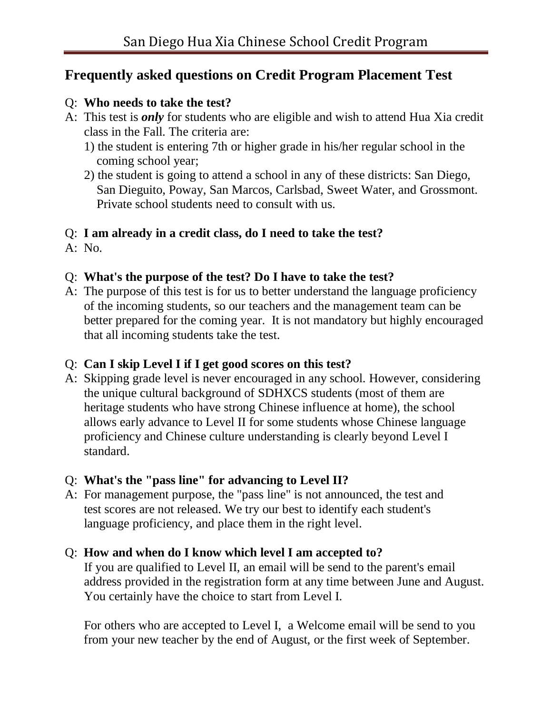# **Frequently asked questions on Credit Program Placement Test**

#### Q: **Who needs to take the test?**

- A: This test is *only* for students who are eligible and wish to attend Hua Xia credit class in the Fall. The criteria are:
	- 1) the student is entering 7th or higher grade in his/her regular school in the coming school year;
	- 2) the student is going to attend a school in any of these districts: San Diego, San Dieguito, Poway, San Marcos, Carlsbad, Sweet Water, and Grossmont. Private school students need to consult with us.

#### Q: **I am already in a credit class, do I need to take the test?**

A: No.

## Q: **What's the purpose of the test? Do I have to take the test?**

A: The purpose of this test is for us to better understand the language proficiency of the incoming students, so our teachers and the management team can be better prepared for the coming year. It is not mandatory but highly encouraged that all incoming students take the test.

#### Q: **Can I skip Level I if I get good scores on this test?**

A: Skipping grade level is never encouraged in any school. However, considering the unique cultural background of SDHXCS students (most of them are heritage students who have strong Chinese influence at home), the school allows early advance to Level II for some students whose Chinese language proficiency and Chinese culture understanding is clearly beyond Level I standard.

## Q: **What's the "pass line" for advancing to Level II?**

A: For management purpose, the "pass line" is not announced, the test and test scores are not released. We try our best to identify each student's language proficiency, and place them in the right level.

## Q: **How and when do I know which level I am accepted to?**

 If you are qualified to Level II, an email will be send to the parent's email address provided in the registration form at any time between June and August. You certainly have the choice to start from Level I.

 For others who are accepted to Level I, a Welcome email will be send to you from your new teacher by the end of August, or the first week of September.